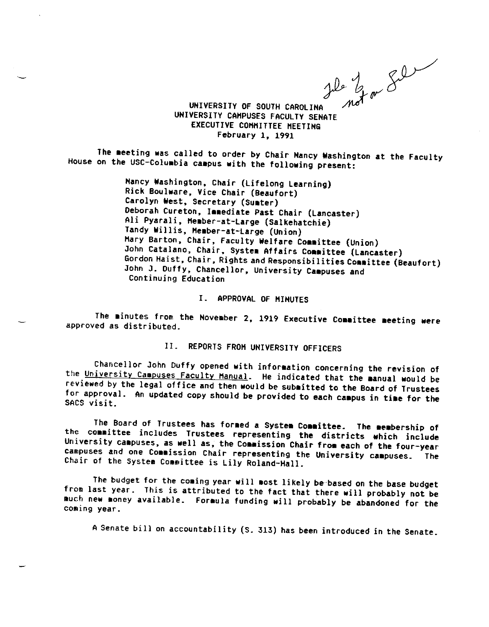$j$ le  $l_{\text{low}}$   $\mathcal{S}^{\omega}$ 

UNIVERSITY CAHPUSES FACULTY SEHATE UNIVERSITY OF SOUTH CAROLINA EXECUTIVE COHHITTEE HEETIHG February 1, 1991

The meeting was called to order by Chair Nancy Washington at the Faculty<br>on the USC-Columbia assesse with the Cair Nancy Washington at the Faculty House on the USC-Colu bia ca pus **with** the following present:

> Nancy Washington, Chair (Lifelong Learning) Rick Boulware, Vice Chair (Beaufort)<br>Carolyn West, Secretary (Sumter)<br>Deborah Cureton, Immediate Past Chair (Lancaster) Ali Pyarali, Member-at-Large (Salkehatchie)<br>Tandy Willis, Member-at-Large (Union) Hary Barton, Chair, Faculty Welfare Committee (Union)<br>John Catalano, Chair, System Affairs Committee (Lancaster) Gordon Haist, Chair, Rights and Responsibilities Committee (Beaufort) John J. Duffy, Chancellor, University **Caapuses** and Continuing Education

## I. APPROVAL OF HIHUTES

The minutes from the November 2, 1919 Executive Committee meeting were approved as distributed.

# II. REPORTS FRON UNIVERSITY OFFICERS

Chancellor John Duffy opened with information concerning the revision of the University Campuses Faculty Hanual. He indicated that the manual would be reviewed by the legal office and then would be submitted to the Board of Trustees itted by the Board of Tice and then would be submitted to the Board of Trustees<br>for approval. An updated copy should be provided to each campus in time for the SACS visit.

The Board of Trustees has for ed a Syste■ Co■■ ittee. The bership of the course as formed a system Committee. The membership of<br>the committee includes Trustees representing the districts which include University campuses, as well as, the Commission Chair from each of the four-year campuses and one Commission Chair representing the University campuses. The System Committee is Lily Roland-Hall.

The budget for the coming year will most likely be based on the base budget from last year. This is attributed to the fact that there will probably not be oney available. Formula funding will probably be abandoned for the coming year.

A Senate bill on accountability (S. 313) has been introduced in the Senate.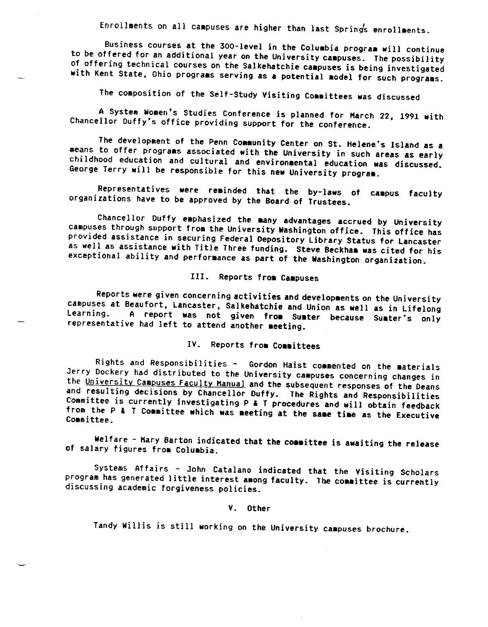Enrollments on all campuses are higher than last Springs enrollments.

Business courses at the 300-level in the Coluabia prograa will continue to be offered for an additional year on the University campuses. The possibility<br>of offering technical courses on the Salkehatchie campuses is being investigated of offering technical courses on the Salkehatchie campuses is being investigated<br>with Kent State, Ohio programs serving as a potential model for such programs.

The composition of the Self-Study Visiting Committees was discussed

A System Women's Studies Conference is planned for Harch 22, 1991 with Chancellor Duffy's office providing support for the conference.

The development of the Penn Community Center on St. Helene's Island as a means to offer programs associated with the University in such areas as early childhood education and cultural and environmental education and cultural and environ ental education was discussed. George Terry will be responsible for this new University program.

Representatives were reminded that the by-laws of campus faculty organizations have to be approved by the Board of Trustees.

Chancellor Duffy emphasized the many advantages accrued by University campuses through support from the University Washington office. This office has<br>provided assistance in securing Federal Depository Library Status for La as well as assistance with Title Three funding. Steve Beckham was cited for his<br>exceptional ability and performance as part of the Washington organization.

# III. Reports from Campuses

Reports were given concerning activities and developments on the University campuses at Beaufort, Lancaster, Salkehatchie and Union as well as in Lifelong Learning. A report was not given from Sumter because Sumter's only representative had left to attend another meeting.

## IV. Reports fro■ Co■■ ittees

Rights and Responsibilities - Gordon Haist commented on the Jerry Dockery had distributed to the University campuses concerning changes in the University Campuses Faculty Manual and the subsequent responses of the Deans<br>and resulting decisions by Chancellor Duffy. The Rights and Responsibilities Committee is currently investigating P & T procedures and will obtain feedback from the P & T Committee which was meeting at the same time as the Executive<br>Committee.

Welfare - Mary Barton indicated that the committee is awaiting the release of salary figures from Columbia.

Systems Affairs - John Catalano indicated that the Visiting Scholars program has generated little interest **aaong** faculty. The **coaaittee** is currently discussing academic forgiveness policies.

#### V. Other

Tandy Willis is still working on the University campuses brochure.

-